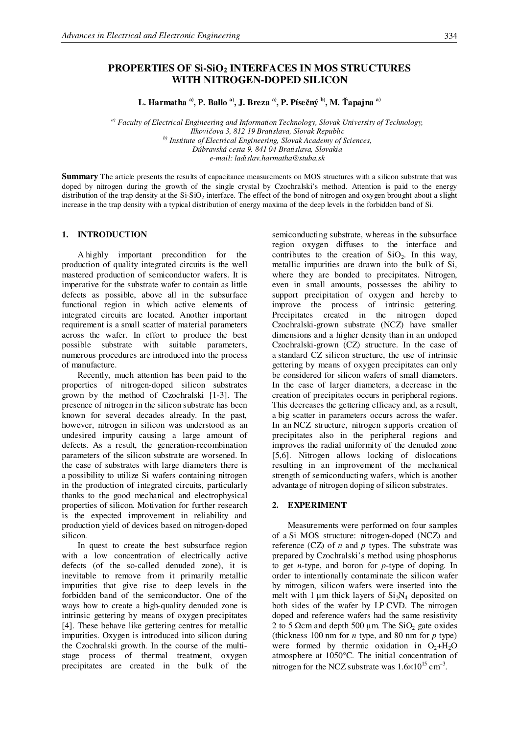# **PROPERTIES OF Si-SiO<sup>2</sup> INTERFACES IN MOS STRUCTURES WITH NITROGEN-DOPED SILICON**

 $L$ . **Harmatha <sup>a)</sup>, P. Ballo <sup>a)</sup>, J. Breza <sup>a)</sup>, P. Písečný <sup>b)</sup>, M. Ťapajna <sup>a)</sup>** 

*a) Faculty of Electrical Engineering and Information Technology, Slovak University of Technology, Ilkoviova 3, 812 19 Bratislava, Slovak Republic b) Institute of Electrical Engineering, Slovak Academy of Sciences, Dúbravská cesta 9, 841 04 Bratislava, Slovakia e-mail: ladislav.harmatha@stuba.sk*

**Summary** The article presents the results of capacitance measurements on MOS structures with a silicon substrate that was doped by nitrogen during the growth of the single crystal by Czochralski's method. Attention is paid to the energy distribution of the trap density at the  $Si-SiO<sub>2</sub>$  interface. The effect of the bond of nitrogen and oxygen brought about a slight increase in the trap density with a typical distribution of energy maxima of the deep levels in the forbidden band of Si.

## **1. INTRODUCTION**

A highly important precondition for the production of quality integrated circuits is the well mastered production of semiconductor wafers. It is imperative for the substrate wafer to contain as little defects as possible, above all in the subsurface functional region in which active elements of integrated circuits are located. Another important requirement is a small scatter of material parameters across the wafer. In effort to produce the best possible substrate with suitable parameters, numerous procedures are introduced into the process of manufacture.

Recently, much attention has been paid to the properties of nitrogen-doped silicon substrates grown by the method of Czochralski [1-3]. The presence of nitrogen in the silicon substrate has been known for several decades already. In the past, however, nitrogen in silicon was understood as an undesired impurity causing a large amount of defects. As a result, the generation-recombination parameters of the silicon substrate are worsened. In the case of substrates with large diameters there is a possibility to utilize Si wafers containing nitrogen in the production of integrated circuits, particularly thanks to the good mechanical and electrophysical properties of silicon. Motivation for further research is the expected improvement in reliability and production yield of devices based on nitrogen-doped silicon.

In quest to create the best subsurface region with a low concentration of electrically active defects (of the so-called denuded zone), it is inevitable to remove from it primarily metallic impurities that give rise to deep levels in the forbidden band of the semiconductor. One of the ways how to create a high-quality denuded zone is intrinsic gettering by means of oxygen precipitates [4]. These behave like gettering centres for metallic impurities. Oxygen is introduced into silicon during the Czochralski growth. In the course of the multistage process of thermal treatment, oxygen precipitates are created in the bulk of the

semiconducting substrate, whereas in the subsurface region oxygen diffuses to the interface and contributes to the creation of  $SiO<sub>2</sub>$ . In this way, metallic impurities are drawn into the bulk of Si, where they are bonded to precipitates. Nitrogen, even in small amounts, possesses the ability to support precipitation of oxygen and hereby to improve the process of intrinsic gettering. Precipitates created in the nitrogen doped Czochralski-grown substrate (NCZ) have smaller dimensions and a higher density than in an undoped Czochralski-grown (CZ) structure. In the case of a standard CZ silicon structure, the use of intrinsic gettering by means of oxygen precipitates can only be considered for silicon wafers of small diameters. In the case of larger diameters, a decrease in the creation of precipitates occurs in peripheral regions. This decreases the gettering efficacy and, as a result, a big scatter in parameters occurs across the wafer. In an NCZ structure, nitrogen supports creation of precipitates also in the peripheral regions and improves the radial uniformity of the denuded zone [5,6]. Nitrogen allows locking of dislocations resulting in an improvement of the mechanical strength of semiconducting wafers, which is another advantage of nitrogen doping of silicon substrates.

#### **2. EXPERIMENT**

Measurements were performed on four samples of a Si MOS structure: nitrogen-doped (NCZ) and reference (CZ) of *n* and *p* types. The substrate was prepared by Czochralski's method using phosphorus to get *n*-type, and boron for *p*-type of doping. In order to intentionally contaminate the silicon wafer by nitrogen, silicon wafers were inserted into the melt with 1  $\mu$ m thick layers of Si<sub>3</sub>N<sub>4</sub> deposited on both sides of the wafer by LP CVD. The nitrogen doped and reference wafers had the same resistivity 2 to 5  $\Omega$ cm and depth 500  $\mu$ m. The SiO<sub>2</sub> gate oxides (thickness 100 nm for *n* type, and 80 nm for *p* type) were formed by thermic oxidation in  $O_2 + H_2O$ atmosphere at 1050°C. The initial concentration of nitrogen for the NCZ substrate was  $1.6 \times 10^{15}$  cm<sup>-3</sup>.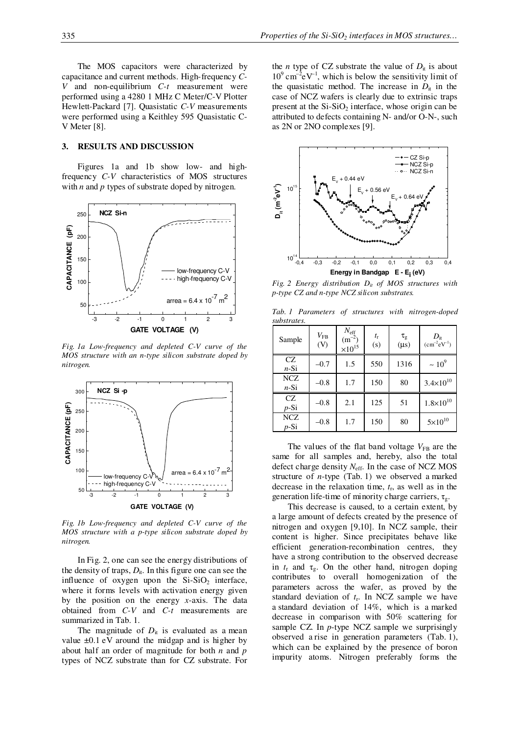The MOS capacitors were characterized by capacitance and current methods. High-frequency *C-V* and non-equilibrium *C-t* measurement were performed using a 4280 1 MHz C Meter/C-V Plotter Hewlett-Packard [7]. Quasistatic *C-V* measurements were performed using a Keithley 595 Quasistatic C-V Meter [8].

#### **3. RESULTS AND DISCUSSION**

Figures 1a and 1b show low- and highfrequency *C-V* characteristics of MOS structures with *n* and *p* types of substrate doped by nitrogen.



*Fig. 1a Low-frequency and depleted C-V curve of the MOS structure with an n-type silicon substrate doped by nitrogen.*



*Fig. 1b Low-frequency and depleted C-V curve of the MOS structure with a p-type silicon substrate doped by nitrogen.*

InFig. 2, one can see the energy distributions of the density of traps,  $D_{it}$ . In this figure one can see the influence of oxygen upon the  $Si-SiO<sub>2</sub>$  interface, where it forms levels with activation energy given by the position on the energy *x*-axis. The data obtained from *C-V* and *C-t* measurements are summarized in Tab. 1.

The magnitude of  $D_{it}$  is evaluated as a mean value  $\pm 0.1$  eV around the midgap and is higher by about half an order of magnitude for both *n* and *p* types of NCZ substrate than for CZ substrate. For

the *n* type of CZ substrate the value of  $D_{it}$  is about  $10^9 \text{ cm}^2 \text{eV}^{-1}$ , which is below the sensitivity limit of the quasistatic method. The increase in  $D_{it}$  in the case of NCZ wafers is clearly due to extrinsic traps present at the  $Si-SiO<sub>2</sub>$  interface, whose origin can be attributed to defects containing N- and/or O-N-, such as 2N or 2NO complexes [9].



*Fig. 2 Energy distribution Dit of MOS structures with p-type CZ and n-type NCZ silicon substrates.*

*Tab. 1 Parameters of structures with nitrogen-doped substrates.*

| Sample               | $V_{\rm FB}$<br>(V) | $\frac{N_{\text{eff}}}{(m^{-2})}$<br>$\times 10^{15}$ | $t_{\rm r}$<br>(s) | $\tau_{\rm g}$<br>$(\mu s)$ | $D_{\rm it}$<br>$(cm^{-2}eV^{-1})$ |
|----------------------|---------------------|-------------------------------------------------------|--------------------|-----------------------------|------------------------------------|
| CZ<br>$n-Si$         | $-0.7$              | 1.5                                                   | 550                | 1316                        | $~10^{9}$                          |
| <b>NCZ</b><br>$n-Si$ | $-0.8$              | 1.7                                                   | 150                | 80                          | $3.4 \times 10^{10}$               |
| CZ<br>$p-Si$         | $-0.8$              | 2.1                                                   | 125                | 51                          | $1.8 \times 10^{10}$               |
| <b>NCZ</b><br>p-Si   | $-0.8$              | 1.7                                                   | 150                | 80                          | $5 \times 10^{10}$                 |

The values of the flat band voltage  $V_{FB}$  are the same for all samples and, hereby, also the total defect charge density *N*eff . In the case of NCZ MOS structure of *n*-type (Tab. 1) we observed a marked decrease in the relaxation time,  $t_r$ , as well as in the generation life-time of minority charge carriers,  $\tau_{g}$ .

This decrease is caused, to a certain extent, by a large amount of defects created by the presence of nitrogen and oxygen [9,10]. In NCZ sample, their content is higher. Since precipitates behave like efficient generation-recombination centres, they have a strong contribution to the observed decrease in  $t_r$  and  $\tau_g$ . On the other hand, nitrogen doping contributes to overall homogenization of the parameters across the wafer, as proved by the standard deviation of *t*<sup>r</sup> . In NCZ sample we have a standard deviation of 14%, which is a marked decrease in comparison with 50% scattering for sample CZ. In *p*-type NCZ sample we surprisingly observed a rise in generation parameters (Tab. 1), which can be explained by the presence of boron impurity atoms. Nitrogen preferably forms the